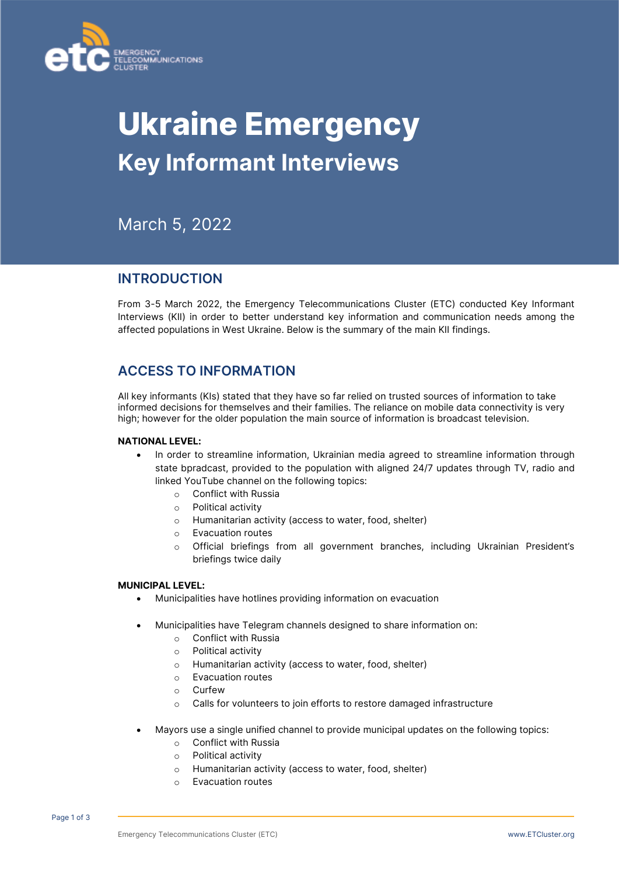

# **Ukraine Emergency Key Informant Interviews**

March 5, 2022

## **INTRODUCTION**

From 3-5 March 2022, the Emergency Telecommunications Cluster (ETC) conducted Key Informant Interviews (KII) in order to better understand key information and communication needs among the affected populations in West Ukraine. Below is the summary of the main KII findings.

# **ACCESS TO INFORMATION**

All key informants (KIs) stated that they have so far relied on trusted sources of information to take informed decisions for themselves and their families. The reliance on mobile data connectivity is very high; however for the older population the main source of information is broadcast television.

## **NATIONAL LEVEL:**

- In order to streamline information, Ukrainian media agreed to streamline information through state bpradcast, provided to the population with aligned 24/7 updates through TV, radio and linked YouTube channel on the following topics:
	- o Conflict with Russia
	- o Political activity
	- o Humanitarian activity (access to water, food, shelter)
	- o Evacuation routes
	- o Official briefings from all government branches, including Ukrainian President's briefings twice daily

## **MUNICIPAL LEVEL:**

- Municipalities have hotlines providing information on evacuation
- Municipalities have Telegram channels designed to share information on:
	- o Conflict with Russia
	- o Political activity
	- o Humanitarian activity (access to water, food, shelter)
	- o Evacuation routes
	- o Curfew
	- o Calls for volunteers to join efforts to restore damaged infrastructure
- Mayors use a single unified channel to provide municipal updates on the following topics:
	- o Conflict with Russia
	- o Political activity
	- o Humanitarian activity (access to water, food, shelter)
	- o Evacuation routes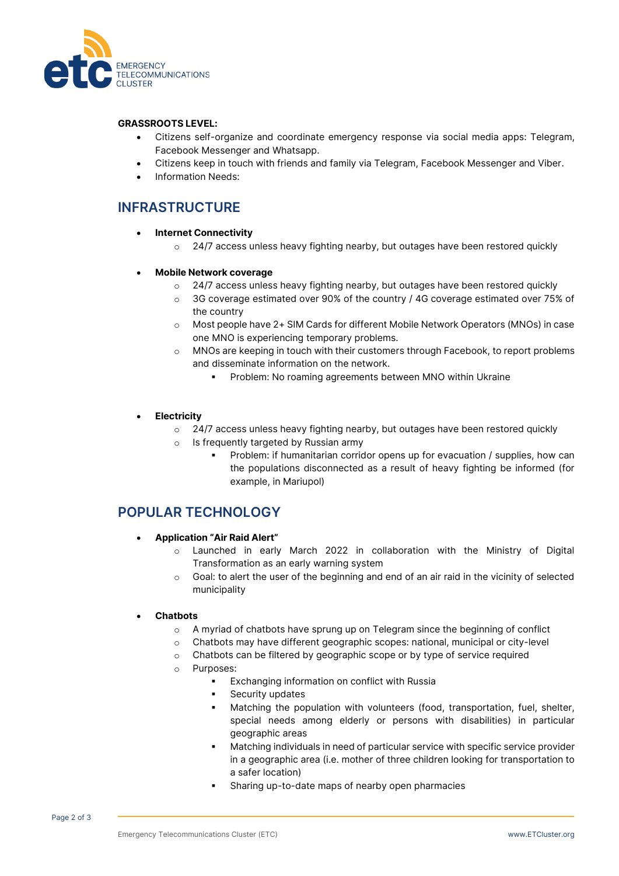

#### **GRASSROOTS LEVEL:**

- Citizens self-organize and coordinate emergency response via social media apps: Telegram, Facebook Messenger and Whatsapp.
- Citizens keep in touch with friends and family via Telegram, Facebook Messenger and Viber.
- Information Needs:

# **INFRASTRUCTURE**

- **Internet Connectivity** 
	- $\circ$  24/7 access unless heavy fighting nearby, but outages have been restored quickly
- **Mobile Network coverage** 
	- $\circ$  24/7 access unless heavy fighting nearby, but outages have been restored quickly
	- $\circ$  3G coverage estimated over 90% of the country / 4G coverage estimated over 75% of the country
	- o Most people have 2+ SIM Cards for different Mobile Network Operators (MNOs) in case one MNO is experiencing temporary problems.
	- o MNOs are keeping in touch with their customers through Facebook, to report problems and disseminate information on the network.
		- Problem: No roaming agreements between MNO within Ukraine

## • **Electricity**

- $\circ$  24/7 access unless heavy fighting nearby, but outages have been restored quickly
- o Is frequently targeted by Russian army
	- Problem: if humanitarian corridor opens up for evacuation / supplies, how can the populations disconnected as a result of heavy fighting be informed (for example, in Mariupol)

## **POPULAR TECHNOLOGY**

- **Application "Air Raid Alert"** 
	- o Launched in early March 2022 in collaboration with the Ministry of Digital Transformation as an early warning system
	- $\circ$  Goal: to alert the user of the beginning and end of an air raid in the vicinity of selected municipality

#### • **Chatbots**

- o A myriad of chatbots have sprung up on Telegram since the beginning of conflict
- o Chatbots may have different geographic scopes: national, municipal or city-level
- o Chatbots can be filtered by geographic scope or by type of service required
- o Purposes:
	- Exchanging information on conflict with Russia
	- Security updates
	- Matching the population with volunteers (food, transportation, fuel, shelter, special needs among elderly or persons with disabilities) in particular geographic areas
	- Matching individuals in need of particular service with specific service provider in a geographic area (i.e. mother of three children looking for transportation to a safer location)
	- Sharing up-to-date maps of nearby open pharmacies